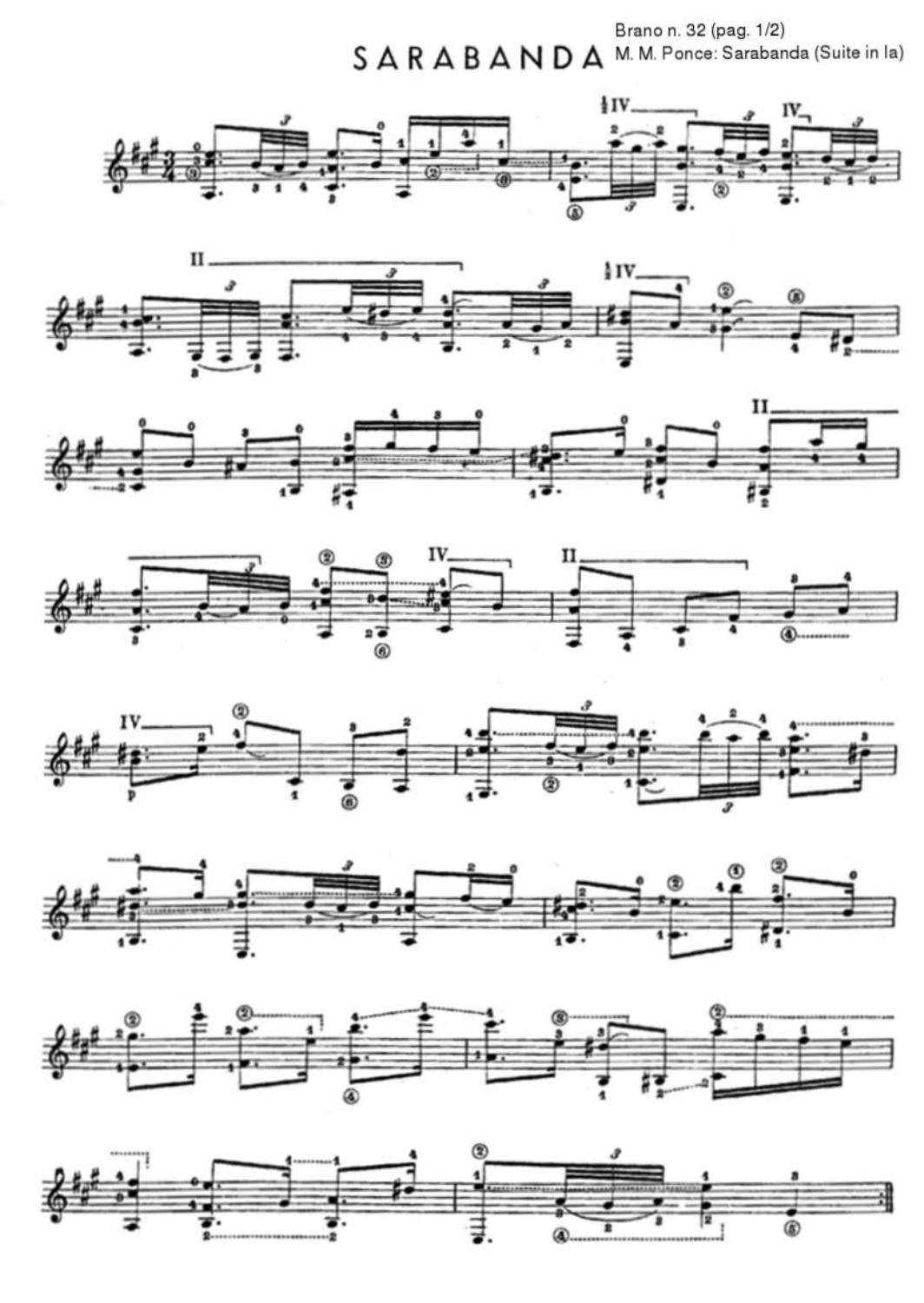Brano n. 32 (pag. 1/2) SARABANDA M.M. Ponce: Sarabanda (Suite in la)